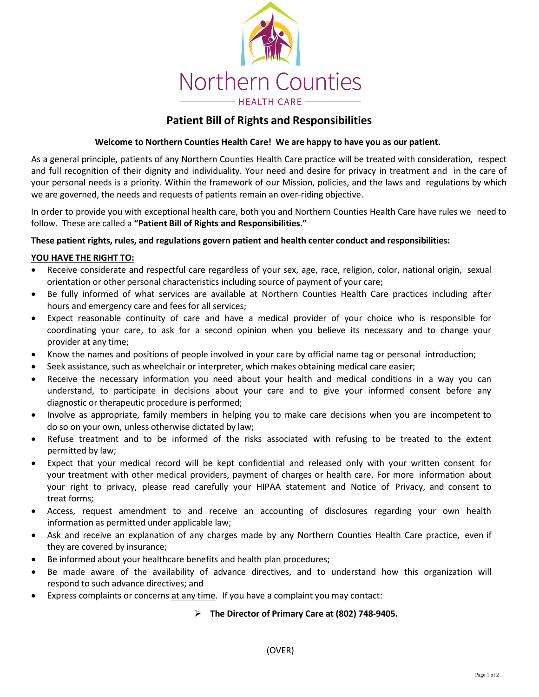

# **Patient Bill of Rights and Responsibilities**

# **Welcome to Northern Counties Health Care! We are happy to have you as our patient.**

As a general principle, patients of any Northern Counties Health Care practice will be treated with consideration, respect and full recognition of their dignity and individuality. Your need and desire for privacy in treatment and in the care of your personal needs is a priority. Within the framework of our Mission, policies, and the laws and regulations by which we are governed, the needs and requests of patients remain an over-riding objective.

In order to provide you with exceptional health care, both you and Northern Counties Health Care have rules we need to follow. These are called a **"Patient Bill of Rights and Responsibilities."**

#### **These patient rights, rules, and regulations govern patient and health center conduct and responsibilities:**

#### **YOU HAVE THE RIGHT TO:**

- Receive considerate and respectful care regardless of your sex, age, race, religion, color, national origin, sexual orientation or other personal characteristics including source of payment of your care;
- Be fully informed of what services are available at Northern Counties Health Care practices including after hours and emergency care and fees for all services;
- Expect reasonable continuity of care and have a medical provider of your choice who is responsible for coordinating your care, to ask for a second opinion when you believe its necessary and to change your provider at any time;
- Know the names and positions of people involved in your care by official name tag or personal introduction;
- Seek assistance, such as wheelchair or interpreter, which makes obtaining medical care easier;
- Receive the necessary information you need about your health and medical conditions in a way you can understand, to participate in decisions about your care and to give your informed consent before any diagnostic or therapeutic procedure is performed;
- Involve as appropriate, family members in helping you to make care decisions when you are incompetent to do so on your own, unless otherwise dictated by law;
- Refuse treatment and to be informed of the risks associated with refusing to be treated to the extent permitted by law;
- Expect that your medical record will be kept confidential and released only with your written consent for your treatment with other medical providers, payment of charges or health care. For more information about your right to privacy, please read carefully your HIPAA statement and Notice of Privacy, and consent to treat forms;
- Access, request amendment to and receive an accounting of disclosures regarding your own health information as permitted under applicable law;
- Ask and receive an explanation of any charges made by any Northern Counties Health Care practice, even if they are covered by insurance;
- Be informed about your healthcare benefits and health plan procedures;
- Be made aware of the availability of advance directives, and to understand how this organization will respond to such advance directives; and
- Express complaints or concerns at any time. If you have a complaint you may contact:

#### **The Director of Primary Care at (802) 748-9405.**